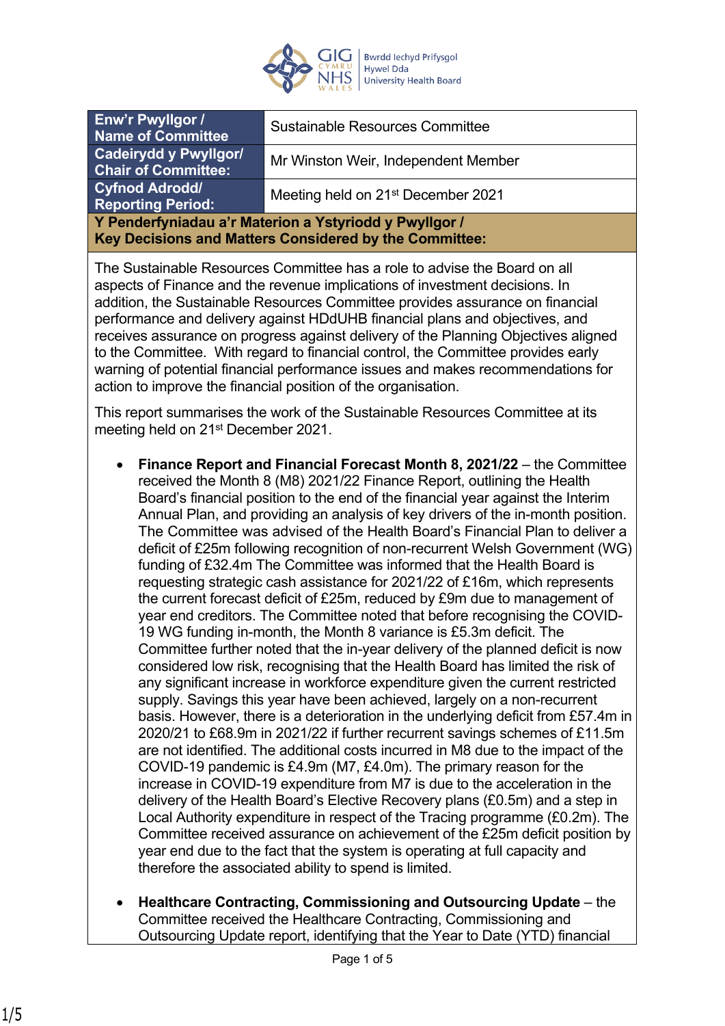

| Enw'r Pwyllgor /<br>Name of Committee                                                                            | <b>Sustainable Resources Committee</b>         |
|------------------------------------------------------------------------------------------------------------------|------------------------------------------------|
| <b>Cadeirydd y Pwyllgor/</b><br><b>Chair of Committee:</b>                                                       | Mr Winston Weir, Independent Member            |
| <b>Cyfnod Adrodd/</b><br><b>Reporting Period:</b>                                                                | Meeting held on 21 <sup>st</sup> December 2021 |
| Y Penderfyniadau a'r Materion a Ystyriodd y Pwyllgor /<br>Key Decisions and Matters Considered by the Committee: |                                                |

The Sustainable Resources Committee has a role to advise the Board on all aspects of Finance and the revenue implications of investment decisions. In addition, the Sustainable Resources Committee provides assurance on financial performance and delivery against HDdUHB financial plans and objectives, and receives assurance on progress against delivery of the Planning Objectives aligned to the Committee. With regard to financial control, the Committee provides early warning of potential financial performance issues and makes recommendations for action to improve the financial position of the organisation.

This report summarises the work of the Sustainable Resources Committee at its meeting held on 21<sup>st</sup> December 2021.

- **Finance Report and Financial Forecast Month 8, 2021/22** the Committee received the Month 8 (M8) 2021/22 Finance Report, outlining the Health Board's financial position to the end of the financial year against the Interim Annual Plan, and providing an analysis of key drivers of the in-month position. The Committee was advised of the Health Board's Financial Plan to deliver a deficit of £25m following recognition of non-recurrent Welsh Government (WG) funding of £32.4m The Committee was informed that the Health Board is requesting strategic cash assistance for 2021/22 of £16m, which represents the current forecast deficit of £25m, reduced by £9m due to management of year end creditors. The Committee noted that before recognising the COVID-19 WG funding in-month, the Month 8 variance is £5.3m deficit. The Committee further noted that the in-year delivery of the planned deficit is now considered low risk, recognising that the Health Board has limited the risk of any significant increase in workforce expenditure given the current restricted supply. Savings this year have been achieved, largely on a non-recurrent basis. However, there is a deterioration in the underlying deficit from £57.4m in 2020/21 to £68.9m in 2021/22 if further recurrent savings schemes of £11.5m are not identified. The additional costs incurred in M8 due to the impact of the COVID-19 pandemic is £4.9m (M7, £4.0m). The primary reason for the increase in COVID-19 expenditure from M7 is due to the acceleration in the delivery of the Health Board's Elective Recovery plans (£0.5m) and a step in Local Authority expenditure in respect of the Tracing programme (£0.2m). The Committee received assurance on achievement of the £25m deficit position by year end due to the fact that the system is operating at full capacity and therefore the associated ability to spend is limited.
- **Healthcare Contracting, Commissioning and Outsourcing Update**  the Committee received the Healthcare Contracting, Commissioning and Outsourcing Update report, identifying that the Year to Date (YTD) financial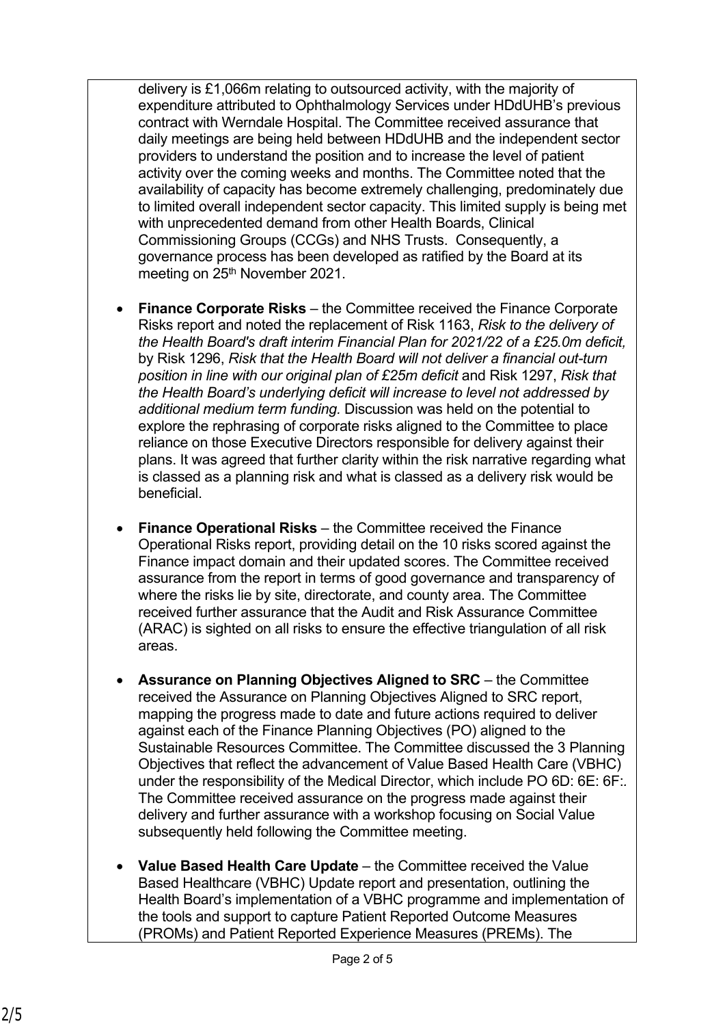delivery is £1,066m relating to outsourced activity, with the majority of expenditure attributed to Ophthalmology Services under HDdUHB's previous contract with Werndale Hospital. The Committee received assurance that daily meetings are being held between HDdUHB and the independent sector providers to understand the position and to increase the level of patient activity over the coming weeks and months. The Committee noted that the availability of capacity has become extremely challenging, predominately due to limited overall independent sector capacity. This limited supply is being met with unprecedented demand from other Health Boards, Clinical Commissioning Groups (CCGs) and NHS Trusts. Consequently, a governance process has been developed as ratified by the Board at its meeting on 25<sup>th</sup> November 2021.

- **Finance Corporate Risks** the Committee received the Finance Corporate Risks report and noted the replacement of Risk 1163, *Risk to the delivery of the Health Board's draft interim Financial Plan for 2021/22 of a £25.0m deficit,* by Risk 1296, *Risk that the Health Board will not deliver a financial out-turn position in line with our original plan of £25m deficit* and Risk 1297, *Risk that the Health Board's underlying deficit will increase to level not addressed by additional medium term funding.* Discussion was held on the potential to explore the rephrasing of corporate risks aligned to the Committee to place reliance on those Executive Directors responsible for delivery against their plans. It was agreed that further clarity within the risk narrative regarding what is classed as a planning risk and what is classed as a delivery risk would be beneficial.
- **Finance Operational Risks** the Committee received the Finance Operational Risks report, providing detail on the 10 risks scored against the Finance impact domain and their updated scores. The Committee received assurance from the report in terms of good governance and transparency of where the risks lie by site, directorate, and county area. The Committee received further assurance that the Audit and Risk Assurance Committee (ARAC) is sighted on all risks to ensure the effective triangulation of all risk areas.
- **Assurance on Planning Objectives Aligned to SRC** the Committee received the Assurance on Planning Objectives Aligned to SRC report, mapping the progress made to date and future actions required to deliver against each of the Finance Planning Objectives (PO) aligned to the Sustainable Resources Committee. The Committee discussed the 3 Planning Objectives that reflect the advancement of Value Based Health Care (VBHC) under the responsibility of the Medical Director, which include PO 6D: 6E: 6F:*.*  The Committee received assurance on the progress made against their delivery and further assurance with a workshop focusing on Social Value subsequently held following the Committee meeting.
- **Value Based Health Care Update**  the Committee received the Value Based Healthcare (VBHC) Update report and presentation, outlining the Health Board's implementation of a VBHC programme and implementation of the tools and support to capture Patient Reported Outcome Measures (PROMs) and Patient Reported Experience Measures (PREMs). The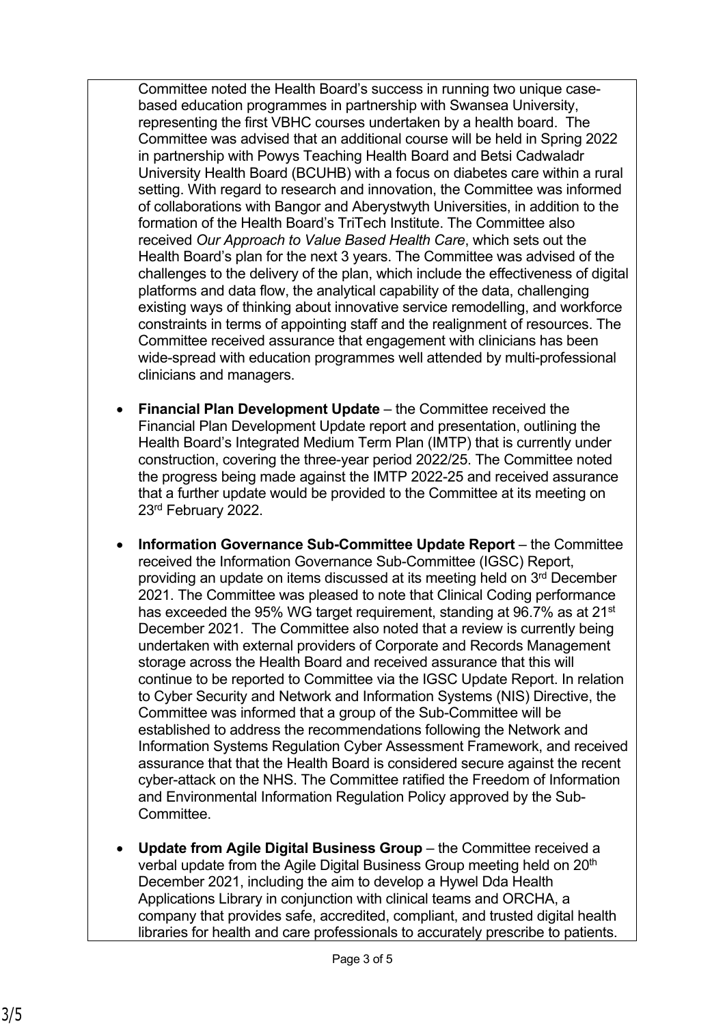Committee noted the Health Board's success in running two unique casebased education programmes in partnership with Swansea University, representing the first VBHC courses undertaken by a health board. The Committee was advised that an additional course will be held in Spring 2022 in partnership with Powys Teaching Health Board and Betsi Cadwaladr University Health Board (BCUHB) with a focus on diabetes care within a rural setting. With regard to research and innovation, the Committee was informed of collaborations with Bangor and Aberystwyth Universities, in addition to the formation of the Health Board's TriTech Institute. The Committee also received *Our Approach to Value Based Health Care*, which sets out the Health Board's plan for the next 3 years. The Committee was advised of the challenges to the delivery of the plan, which include the effectiveness of digital platforms and data flow, the analytical capability of the data, challenging existing ways of thinking about innovative service remodelling, and workforce constraints in terms of appointing staff and the realignment of resources. The Committee received assurance that engagement with clinicians has been wide-spread with education programmes well attended by multi-professional clinicians and managers.

- **Financial Plan Development Update** the Committee received the Financial Plan Development Update report and presentation, outlining the Health Board's Integrated Medium Term Plan (IMTP) that is currently under construction, covering the three-year period 2022/25. The Committee noted the progress being made against the IMTP 2022-25 and received assurance that a further update would be provided to the Committee at its meeting on 23rd February 2022.
- **Information Governance Sub-Committee Update Report** the Committee received the Information Governance Sub-Committee (IGSC) Report, providing an update on items discussed at its meeting held on 3rd December 2021. The Committee was pleased to note that Clinical Coding performance has exceeded the 95% WG target requirement, standing at 96.7% as at 21<sup>st</sup> December 2021. The Committee also noted that a review is currently being undertaken with external providers of Corporate and Records Management storage across the Health Board and received assurance that this will continue to be reported to Committee via the IGSC Update Report. In relation to Cyber Security and Network and Information Systems (NIS) Directive, the Committee was informed that a group of the Sub-Committee will be established to address the recommendations following the Network and Information Systems Regulation Cyber Assessment Framework, and received assurance that that the Health Board is considered secure against the recent cyber-attack on the NHS. The Committee ratified the Freedom of Information and Environmental Information Regulation Policy approved by the Sub-**Committee.**
- **Update from Agile Digital Business Group** the Committee received a verbal update from the Agile Digital Business Group meeting held on 20<sup>th</sup> December 2021, including the aim to develop a Hywel Dda Health Applications Library in conjunction with clinical teams and ORCHA, a company that provides safe, accredited, compliant, and trusted digital health libraries for health and care professionals to accurately prescribe to patients.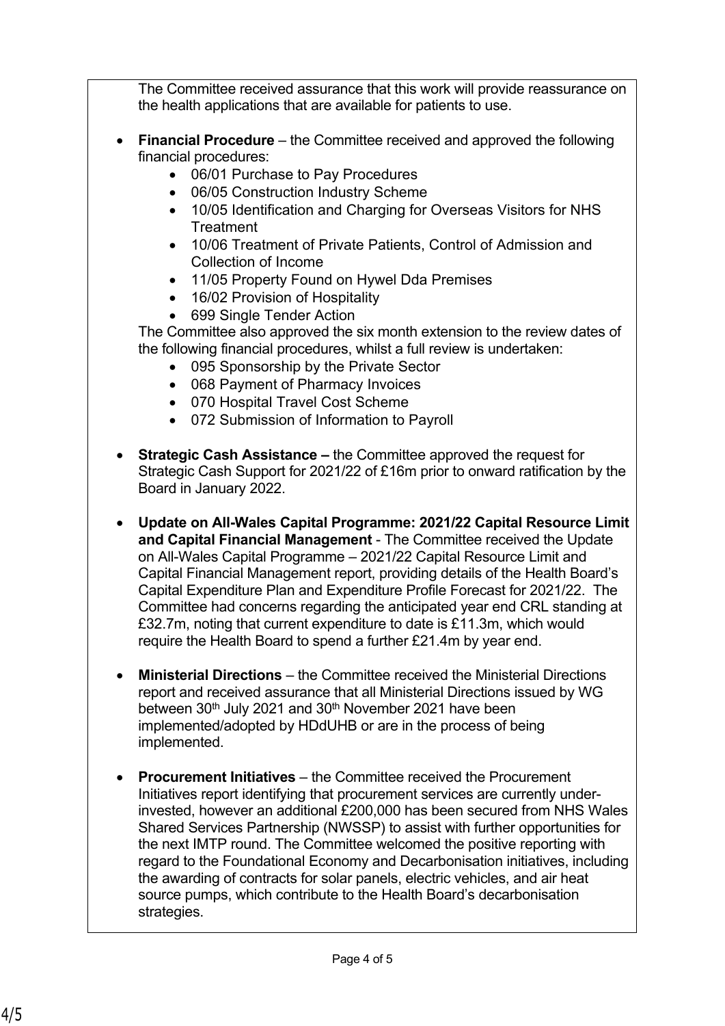The Committee received assurance that this work will provide reassurance on the health applications that are available for patients to use.

- **Financial Procedure** the Committee received and approved the following financial procedures:
	- 06/01 Purchase to Pay Procedures
	- 06/05 Construction Industry Scheme
	- 10/05 Identification and Charging for Overseas Visitors for NHS **Treatment**
	- 10/06 Treatment of Private Patients, Control of Admission and Collection of Income
	- 11/05 Property Found on Hywel Dda Premises
	- 16/02 Provision of Hospitality
	- 699 Single Tender Action

The Committee also approved the six month extension to the review dates of the following financial procedures, whilst a full review is undertaken:

- 095 Sponsorship by the Private Sector
- 068 Payment of Pharmacy Invoices
- 070 Hospital Travel Cost Scheme
- 072 Submission of Information to Payroll
- **Strategic Cash Assistance** the Committee approved the request for Strategic Cash Support for 2021/22 of £16m prior to onward ratification by the Board in January 2022.
- **Update on All-Wales Capital Programme: 2021/22 Capital Resource Limit and Capital Financial Management** - The Committee received the Update on All-Wales Capital Programme – 2021/22 Capital Resource Limit and Capital Financial Management report, providing details of the Health Board's Capital Expenditure Plan and Expenditure Profile Forecast for 2021/22. The Committee had concerns regarding the anticipated year end CRL standing at £32.7m, noting that current expenditure to date is £11.3m, which would require the Health Board to spend a further £21.4m by year end.
- **Ministerial Directions** the Committee received the Ministerial Directions report and received assurance that all Ministerial Directions issued by WG between 30<sup>th</sup> July 2021 and 30<sup>th</sup> November 2021 have been implemented/adopted by HDdUHB or are in the process of being implemented.
- **Procurement Initiatives** the Committee received the Procurement Initiatives report identifying that procurement services are currently underinvested, however an additional £200,000 has been secured from NHS Wales Shared Services Partnership (NWSSP) to assist with further opportunities for the next IMTP round. The Committee welcomed the positive reporting with regard to the Foundational Economy and Decarbonisation initiatives, including the awarding of contracts for solar panels, electric vehicles, and air heat source pumps, which contribute to the Health Board's decarbonisation strategies.